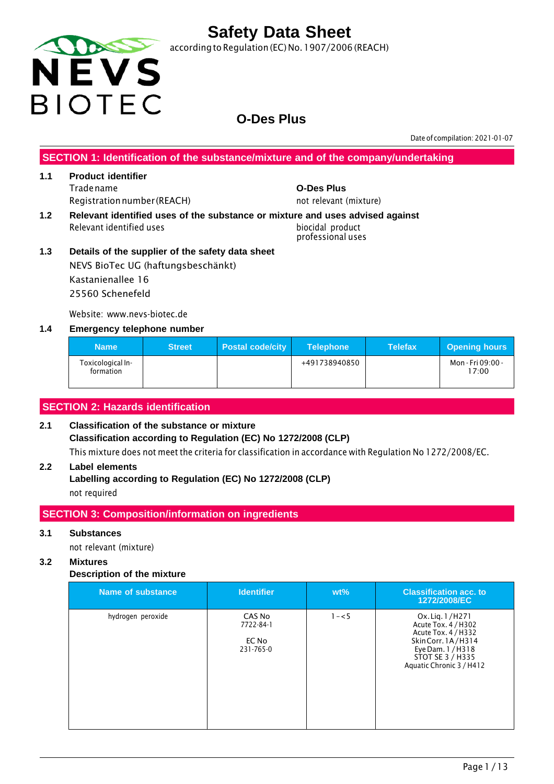

according to Regulation (EC) No. 1907/2006 (REACH)

### **O-Des Plus**

Date of compilation: 2021-01-07

**SECTION 1: Identification of the substance/mixture and of the company/undertaking**

#### **1.1 Product identifier** Tradename **O-Des Plus** Registration number (REACH) not relevant (mixture)

**1.2 Relevant identified uses of the substance or mixture and uses advised against** Relevant identified uses biocidal product

professional uses

**1.3 Details of the supplier of the safety data sheet** NEVS BioTec UG (haftungsbeschänkt) Kastanienallee 16 25560 Schenefeld

Website: www.nevs-biotec.de

#### **1.4 Emergency telephone number**

| <b>Name</b>                    | <b>Street</b> | <b>Postal code/city</b> | <b>Telephone</b> | <b>Telefax</b> | <b>Opening hours</b>       |
|--------------------------------|---------------|-------------------------|------------------|----------------|----------------------------|
| Toxicological In-<br>formation |               |                         | +491738940850    |                | Mon - Fri 09:00 -<br>17:00 |

### **SECTION 2: Hazards identification**

### **2.1 Classification of the substance or mixture Classification according to Regulation (EC) No 1272/2008 (CLP)** This mixture does not meet the criteria for classification in accordance with Regulation No 1272/2008/EC.

### **2.2 Label elements**

**Labelling according to Regulation (EC) No 1272/2008 (CLP)** not required

### **SECTION 3: Composition/information on ingredients**

#### **3.1 Substances**

not relevant (mixture)

#### **3.2 Mixtures**

#### **Description of the mixture**

| Name of substance | <b>Identifier</b>                         | $wt\%$  | <b>Classification acc. to</b><br>1272/2008/EC                                                                                                            |
|-------------------|-------------------------------------------|---------|----------------------------------------------------------------------------------------------------------------------------------------------------------|
| hydrogen peroxide | CAS No<br>7722-84-1<br>EC No<br>231-765-0 | $1 - 5$ | Ox. Lig. 1/H271<br>Acute Tox. 4 / H302<br>Acute Tox. 4 / H332<br>Skin Corr. 1A/H314<br>Eye Dam. 1 / H318<br>STOT SE 3 / H335<br>Aquatic Chronic 3 / H412 |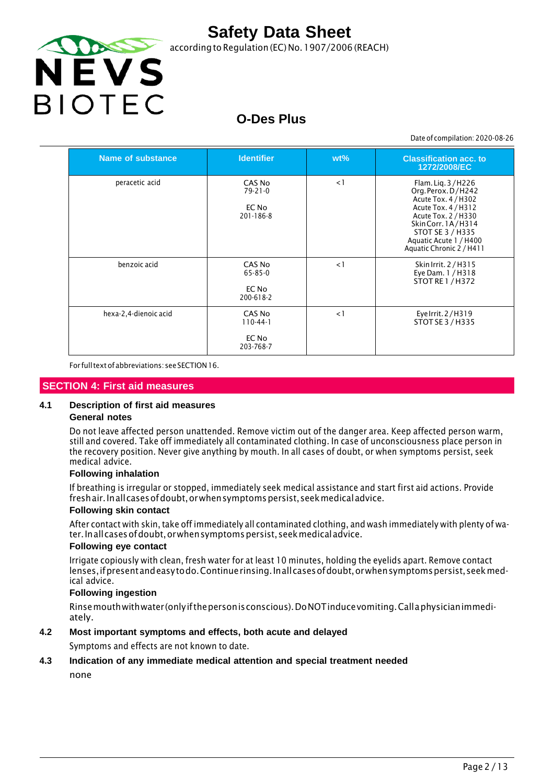

according to Regulation (EC) No. 1907/2006 (REACH)

# **O-Des Plus**

Date of compilation: 2020-08-26

| <b>Name of substance</b> | <b>Identifier</b>                             | $wt\%$   | <b>Classification acc. to</b><br>1272/2008/EC                                                                                                                                                               |
|--------------------------|-----------------------------------------------|----------|-------------------------------------------------------------------------------------------------------------------------------------------------------------------------------------------------------------|
| peracetic acid           | CAS No<br>$79 - 21 - 0$<br>EC No<br>201-186-8 | $\leq$ 1 | Flam. Lig. 3/H226<br>Org. Perox. D/H242<br>Acute Tox. 4 / H302<br>Acute Tox. 4 / H312<br>Acute Tox. 2 / H330<br>SkinCorr. 1A/H314<br>STOT SE 3 / H335<br>Aquatic Acute 1 / H400<br>Aquatic Chronic 2 / H411 |
| benzoic acid             | CAS No<br>65-85-0<br>EC No<br>200-618-2       | $\lt 1$  | Skin Irrit. 2 / H315<br>Eye Dam. 1 / H318<br><b>STOT RE 1 / H372</b>                                                                                                                                        |
| hexa-2,4-dienoic acid    | CAS No<br>$110-44-1$<br>EC No<br>203-768-7    | $\lt 1$  | Eye Irrit. 2/H319<br>STOT SE 3 / H335                                                                                                                                                                       |

For fulltextofabbreviations: seeSECTION16.

#### **SECTION 4: First aid measures**

#### **4.1 Description of first aid measures**

#### **General notes**

Do not leave affected person unattended. Remove victim out of the danger area. Keep affected person warm, still and covered. Take off immediately all contaminated clothing. In case of unconsciousness place person in the recovery position. Never give anything by mouth. In all cases of doubt, or when symptoms persist, seek medical advice.

#### **Following inhalation**

If breathing is irregular or stopped, immediately seek medical assistance and start first aid actions. Provide freshair. Inall cases of doubt, or when symptoms persist, seek medical advice.

#### **Following skin contact**

After contact with skin, take off immediately all contaminated clothing, and wash immediately with plenty of water.Inallcasesofdoubt,orwhensymptomspersist,seekmedicaladvice.

#### **Following eye contact**

Irrigate copiously with clean, fresh water for at least 10 minutes, holding the eyelids apart. Remove contact lenses, if present and easy to do. Continue rinsing. In all cases of doubt, or when symptoms persist, seek medical advice.

#### **Following ingestion**

Rinsemouthwithwater (onlyifthepersonisconscious).DoNOTinducevomiting.Callaphysicianimmediately.

#### **4.2 Most important symptoms and effects, both acute and delayed**

Symptoms and effects are not known to date.

#### **4.3 Indication of any immediate medical attention and special treatment needed**

none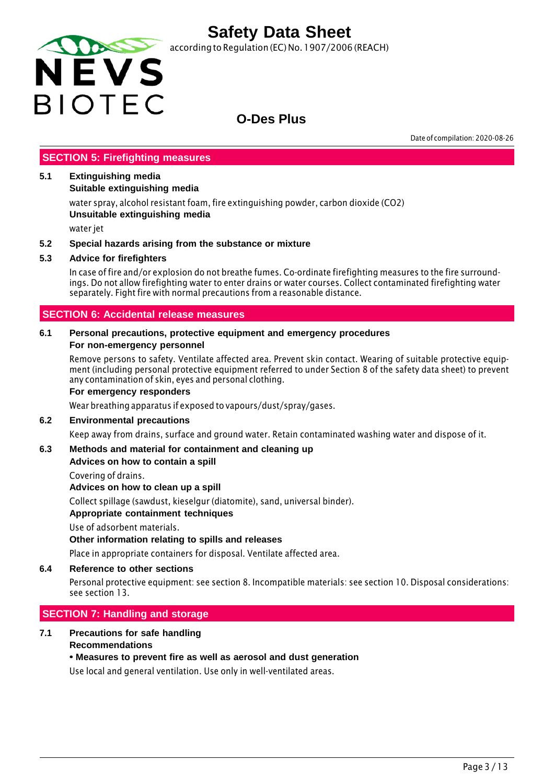

according to Regulation (EC) No. 1907/2006 (REACH)

### **O-Des Plus**

Date of compilation: 2020-08-26

#### **SECTION 5: Firefighting measures**

#### **5.1 Extinguishing media**

**Suitable extinguishing media**

water spray, alcohol resistant foam, fire extinguishing powder, carbon dioxide (CO2) **Unsuitable extinguishing media**

water jet

#### **5.2 Special hazards arising from the substance or mixture**

#### **5.3 Advice for firefighters**

In case of fire and/or explosion do not breathe fumes. Co-ordinate firefighting measures to the fire surroundings. Do not allow firefighting water to enter drains or water courses. Collect contaminated firefighting water separately. Fight fire with normal precautions from a reasonable distance.

#### **SECTION 6: Accidental release measures**

#### **6.1 Personal precautions, protective equipment and emergency procedures For non-emergency personnel**

Remove persons to safety. Ventilate affected area. Prevent skin contact. Wearing of suitable protective equipment (including personal protective equipment referred to under Section 8 of the safety data sheet) to prevent any contamination of skin, eyes and personal clothing.

#### **For emergency responders**

Wear breathing apparatus if exposed to vapours/dust/spray/gases.

#### **6.2 Environmental precautions**

Keep away from drains, surface and ground water. Retain contaminated washing water and dispose of it.

#### **6.3 Methods and material for containment and cleaning up**

#### **Advices on how to contain a spill**

Covering of drains.

**Advices on how to clean up a spill**

Collect spillage (sawdust, kieselgur (diatomite), sand, universal binder).

#### **Appropriate containment techniques**

Use of adsorbent materials.

#### **Other information relating to spills and releases**

Place in appropriate containers for disposal. Ventilate affected area.

#### **6.4 Reference to other sections**

Personal protective equipment: see section 8. Incompatible materials: see section 10. Disposal considerations: see section 13.

#### **SECTION 7: Handling and storage**

#### **7.1 Precautions for safe handling Recommendations**

#### **• Measures to prevent fire as well as aerosol and dust generation**

Use local and general ventilation. Use only in well-ventilated areas.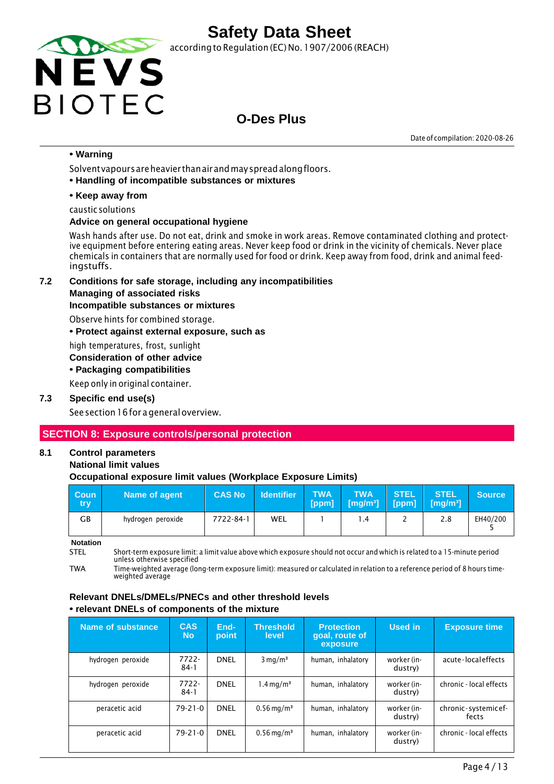

according to Regulation (EC) No. 1907/2006 (REACH)

### **O-Des Plus**

Date of compilation: 2020-08-26

#### **• Warning**

Solventvapoursareheavier thanairandmayspreadalongfloors.

**• Handling of incompatible substances or mixtures**

#### **• Keep away from**

caustic solutions

#### **Advice on general occupational hygiene**

Wash hands after use. Do not eat, drink and smoke in work areas. Remove contaminated clothing and protective equipment before entering eating areas. Never keep food or drink in the vicinity of chemicals. Never place chemicals in containers that are normally used for food or drink. Keep away from food, drink and animal feedingstuffs.

**7.2 Conditions for safe storage, including any incompatibilities**

#### **Managing of associated risks**

#### **Incompatible substances or mixtures**

Observe hints for combined storage.

**• Protect against external exposure, such as**

high temperatures, frost, sunlight

#### **Consideration of other advice**

**• Packaging compatibilities**

Keep only in original container.

#### **7.3 Specific end use(s)**

See section 16 for a general overview.

### **SECTION 8: Exposure controls/personal protection**

### **8.1 Control parameters**

#### **National limit values**

#### **Occupational exposure limit values (Workplace Exposure Limits)**

| <b>Coun</b><br>try | Name of agent     | <b>CAS No</b> | <b>Identifier</b> | <b>TWA</b><br>[ppm] | <b>TWA</b><br>$\sqrt{[mg/m^3]}$ | <b>STEL</b> | <b>STEL</b><br>$[ppm]$ $[mg/m^3]$ | <b>Source</b> |
|--------------------|-------------------|---------------|-------------------|---------------------|---------------------------------|-------------|-----------------------------------|---------------|
| GВ                 | hydrogen peroxide | 7722-84-1     | WEL               |                     | $\cdot$ 4                       | -           | 2.8                               | EH40/200      |

**Notation**

STEL Short-term exposure limit: a limit value above which exposure should not occur and which is related to a 15-minute period unless otherwise specified

TWA Time-weighted average (long-term exposure limit): measured or calculated in relation to a reference period of 8 hours timeweighted average

#### **Relevant DNELs/DMELs/PNECs and other threshold levels • relevant DNELs of components of the mixture**

| Name of substance | <b>CAS</b><br><b>No</b> | End-<br>point | <b>Threshold</b><br>level | <b>Protection</b><br>goal, route of<br>exposure | Used in                | <b>Exposure time</b>         |
|-------------------|-------------------------|---------------|---------------------------|-------------------------------------------------|------------------------|------------------------------|
| hydrogen peroxide | $7722 -$<br>$84-1$      | <b>DNEL</b>   | $3 \text{ mg/m}^3$        | human, inhalatory                               | worker (in-<br>dustry) | acute-localeffects           |
| hydrogen peroxide | 7722-<br>$84-1$         | <b>DNEL</b>   | $1.4 \,\mathrm{mq/m^3}$   | human, inhalatory                               | worker (in-<br>dustry) | chronic - local effects      |
| peracetic acid    | $79 - 21 - 0$           | <b>DNEL</b>   | $0.56 \,\mathrm{mg/m^3}$  | human, inhalatory                               | worker (in-<br>dustry) | chronic-systemicef-<br>fects |
| peracetic acid    | $79 - 21 - 0$           | <b>DNEL</b>   | $0.56 \,\mathrm{mg/m^3}$  | human, inhalatory                               | worker (in-<br>dustry) | chronic - local effects      |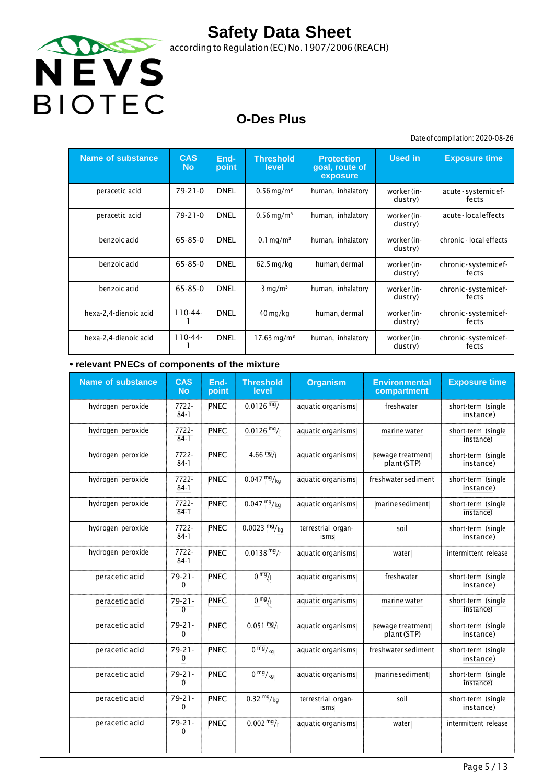

according to Regulation (EC) No.1907/2006 (REACH)

## **O-Des Plus**

Date of compilation: 2020-08-26

| <b>Name of substance</b> | <b>CAS</b><br><b>No</b> | End-<br>point | <b>Threshold</b><br>level | <b>Protection</b><br>goal, route of<br>exposure | <b>Used in</b>         | <b>Exposure time</b>          |
|--------------------------|-------------------------|---------------|---------------------------|-------------------------------------------------|------------------------|-------------------------------|
| peracetic acid           | 79-21-0                 | <b>DNEL</b>   | $0.56 \,\mathrm{mg/m^3}$  | human, inhalatory                               | worker (in-<br>dustry) | acute - systemic ef-<br>fects |
| peracetic acid           | 79-21-0                 | <b>DNEL</b>   | $0.56 \,\mathrm{mg/m^3}$  | human, inhalatory                               | worker (in-<br>dustry) | acute-localeffects            |
| benzoic acid             | 65-85-0                 | <b>DNEL</b>   | $0.1 \,\mathrm{mq/m^3}$   | human, inhalatory                               | worker (in-<br>dustry) | chronic - local effects       |
| benzoic acid             | 65-85-0                 | <b>DNEL</b>   | $62.5$ mg/kg              | human, dermal                                   | worker (in-<br>dustry) | chronic-systemicef-<br>fects  |
| benzoic acid             | 65-85-0                 | <b>DNEL</b>   | $3 \text{ mg/m}^3$        | human, inhalatory                               | worker (in-<br>dustry) | chronic-systemicef-<br>fects  |
| hexa-2,4-dienoic acid    | $110 - 44 -$            | <b>DNEL</b>   | $40 \,\mathrm{mg/kg}$     | human, dermal                                   | worker (in-<br>dustry) | chronic-systemicef-<br>fects  |
| hexa-2,4-dienoic acid    | $110-44-$               | <b>DNEL</b>   | $17.63 \,\mathrm{mg/m^3}$ | human, inhalatory                               | worker (in-<br>dustry) | chronic-systemicef-<br>fects  |

#### **• relevant PNECs of components of the mixture**

| <b>Name of substance</b> | <b>CAS</b><br><b>No</b>     | End-<br>point | <b>Threshold</b><br>level | <b>Organism</b>            | <b>Environmental</b><br>compartment | <b>Exposure time</b>            |
|--------------------------|-----------------------------|---------------|---------------------------|----------------------------|-------------------------------------|---------------------------------|
| hydrogen peroxide        | 7722-<br>$84-1$             | PNEC          | $0.0126 \frac{mg}{l}$     | aquatic organisms          | freshwater                          | short-term (single<br>instance) |
| hydrogen peroxide        | 7722-<br>$84-1$             | <b>PNEC</b>   | $0.0126$ mg/              | aquatic organisms          | marine water                        | short-term (single<br>instance) |
| hydrogen peroxide        | $7722 -$<br>$84-1$          | <b>PNEC</b>   | $4.66 \frac{mg}{l}$       | aquatic organisms          | sewage treatment<br>plant (STP)     | short-term (single<br>instance) |
| hydrogen peroxide        | 7722-<br>$84-1$             | PNEC          | $0.047 \frac{mg}{kg}$     | aquatic organisms          | freshwater sediment                 | short-term (single<br>instance) |
| hydrogen peroxide        | 7722-<br>$84-1$             | PNEC          | $0.047 \frac{mg}{kg}$     | aquatic organisms          | marine sediment                     | short-term (single<br>instance) |
| hydrogen peroxide        | $7722 -$<br>$84-1$          | <b>PNEC</b>   | $0.0023 \frac{mg}{kg}$    | terrestrial organ-<br>isms | soil                                | short-term (single<br>instance) |
| hydrogen peroxide        | 7722-<br>$84-1$             | PNEC          | $0.0138 \text{ mg}$ /     | aquatic organisms          | water                               | intermittent release            |
| peracetic acid           | $79 - 21 -$<br>0            | <b>PNEC</b>   | 0 <sup>mg</sup> /1        | aquatic organisms          | freshwater                          | short-term (single<br>instance) |
| peracetic acid           | $79 - 21 -$<br>$\mathbf{0}$ | <b>PNEC</b>   | 0 <sup>mg</sup> /1        | aquatic organisms          | marine water                        | short-term (single<br>instance) |
| peracetic acid           | $79 - 21 -$<br>0            | <b>PNEC</b>   | $0.051 \frac{mg}{l}$      | aquatic organisms          | sewage treatment<br>plant (STP)     | short-term (single<br>instance) |
| peracetic acid           | $79 - 21 -$<br>0            | <b>PNEC</b>   | 0 <sup>mg</sup> /kq       | aquatic organisms          | freshwater sediment                 | short-term (single<br>instance) |
| peracetic acid           | $79 - 21 -$<br>$\mathbf{0}$ | <b>PNEC</b>   | $0 \frac{mg}{kg}$         | aquatic organisms          | marine sediment                     | short-term (single<br>instance) |
| peracetic acid           | $79 - 21 -$<br>0            | PNEC          | $0.32 \frac{mg}{kg}$      | terrestrial organ-<br>isms | soil                                | short-term (single<br>instance) |
| peracetic acid           | $79 - 21 -$<br>$\mathbf{0}$ | <b>PNEC</b>   | $0.002 \frac{mg}{l}$      | aquatic organisms          | water                               | intermittent release            |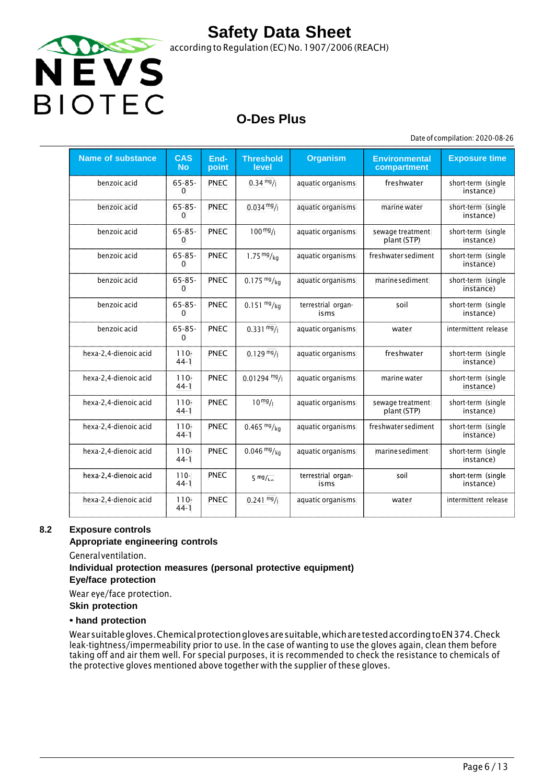

## **O-Des Plus**

Date of compilation: 2020-08-26

| <b>Name of substance</b> | <b>CAS</b><br><b>No</b>     | End-<br>point | <b>Threshold</b><br>level | <b>Organism</b>            | <b>Environmental</b><br>compartment | <b>Exposure time</b>            |
|--------------------------|-----------------------------|---------------|---------------------------|----------------------------|-------------------------------------|---------------------------------|
| benzoic acid             | $65 - 85 -$<br>$\mathbf{0}$ | <b>PNEC</b>   | $0.34 \frac{mg}{l}$       | aquatic organisms          | freshwater                          | short-term (single<br>instance) |
| benzoic acid             | $65 - 85 -$<br>$\Omega$     | <b>PNEC</b>   | $0.034 \frac{mg}{l}$      | aquatic organisms          | marine water                        | short-term (single<br>instance) |
| benzoic acid             | $65 - 85 -$<br>$\Omega$     | <b>PNEC</b>   | $100 \frac{mg}{l}$        | aquatic organisms          | sewage treatment<br>plant (STP)     | short-term (single<br>instance) |
| benzoic acid             | $65 - 85 -$<br>$\mathbf{0}$ | <b>PNEC</b>   | 1.75 $mg/kg$              | aquatic organisms          | freshwater sediment                 | short-term (single<br>instance) |
| benzoic acid             | $65 - 85 -$<br>0            | <b>PNEC</b>   | $0.175 \frac{mg}{kg}$     | aquatic organisms          | marine sediment                     | short-term (single<br>instance) |
| benzoic acid             | $65 - 85 -$<br>$\mathbf{0}$ | <b>PNEC</b>   | $0.151 \frac{mg}{kg}$     | terrestrial organ-<br>isms | soil                                | short-term (single<br>instance) |
| benzoic acid             | $65 - 85 -$<br>$\mathbf{0}$ | <b>PNEC</b>   | $0.331 \frac{mg}{l}$      | aquatic organisms          | water                               | intermittent release            |
| hexa-2,4-dienoic acid    | $110 -$<br>$44-1$           | <b>PNEC</b>   | $0.129 \frac{mg}{l}$      | aquatic organisms          | freshwater                          | short-term (single<br>instance) |
| hexa-2,4-dienoic acid    | $110 -$<br>$44-1$           | <b>PNEC</b>   | $0.01294$ mg/             | aquatic organisms          | marine water                        | short-term (single<br>instance) |
| hexa-2,4-dienoic acid    | $110 -$<br>$44-1$           | <b>PNEC</b>   | $10^{mg}/1$               | aquatic organisms          | sewage treatment<br>plant (STP)     | short-term (single<br>instance) |
| hexa-2,4-dienoic acid    | $110 -$<br>$44-1$           | <b>PNEC</b>   | $0.465 \frac{mg}{kg}$     | aquatic organisms          | freshwater sediment                 | short-term (single<br>instance) |
| hexa-2,4-dienoic acid    | $110 -$<br>$44-1$           | <b>PNEC</b>   | $0.046 \frac{mg}{kg}$     | aquatic organisms          | marine sediment                     | short-term (single<br>instance) |
| hexa 2,4 dienoic acid    | $110 -$<br>$44-1$           | <b>PNEC</b>   | $5 \frac{mg}{ka}$         | terrestrial organ<br>isms  | soil                                | short term (single<br>instance) |
| hexa-2,4-dienoic acid    | $110 -$<br>$44-1$           | <b>PNEC</b>   | $0.241 \frac{mg}{l}$      | aquatic organisms          | water                               | intermittent release            |

#### **8.2 Exposure controls**

#### **Appropriate engineering controls**

Generalventilation.

### **Individual protection measures (personal protective equipment)**

**Eye/face protection**

Wear eye/face protection.

**Skin protection**

#### **• hand protection**

Wearsuitablegloves.Chemicalprotectionglovesaresuitable,whicharetestedaccordingtoEN374.Check leak-tightness/impermeability prior to use. In the case of wanting to use the gloves again, clean them before taking off and air them well. For special purposes, it is recommended to check the resistance to chemicals of the protective gloves mentioned above together with the supplier of these gloves.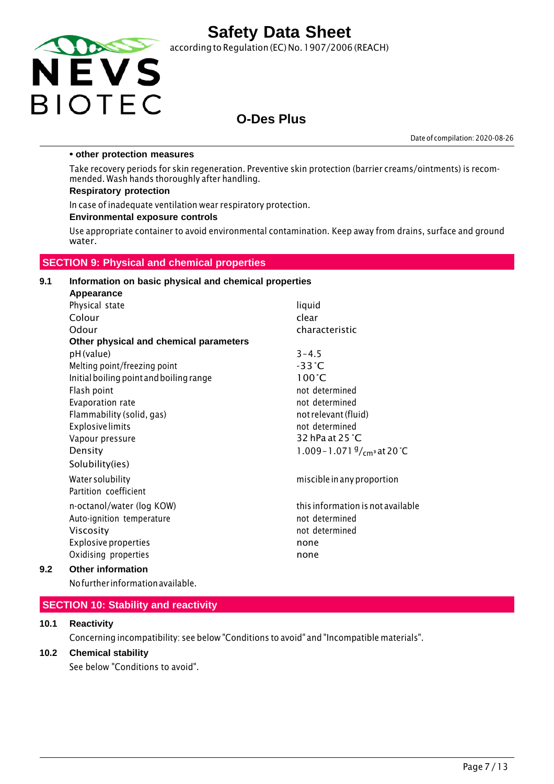

according to Regulation (EC) No.1907/2006 (REACH)

### **O-Des Plus**

Date of compilation: 2020-08-26

#### **• other protection measures**

Take recovery periods for skin regeneration. Preventive skin protection (barrier creams/ointments) is recommended. Wash hands thoroughly after handling.

#### **Respiratory protection**

In case of inadequate ventilation wear respiratory protection.

#### **Environmental exposure controls**

Use appropriate container to avoid environmental contamination. Keep away from drains, surface and ground water.

#### **SECTION 9: Physical and chemical properties**

#### **9.1 Information on basic physical and chemical properties Appearance**

|     | <b>APPGULATION</b>                      |                                       |
|-----|-----------------------------------------|---------------------------------------|
|     | Physical state                          | liquid                                |
|     | Colour                                  | clear                                 |
|     | Odour                                   | characteristic                        |
|     | Other physical and chemical parameters  |                                       |
|     | pH (value)                              | $3 - 4.5$                             |
|     | Melting point/freezing point            | $-33^{\circ}$ C                       |
|     | Initial boiling point and boiling range | $100^{\circ}$ C                       |
|     | Flash point                             | not determined                        |
|     | Evaporation rate                        | not determined                        |
|     | Flammability (solid, gas)               | not relevant (fluid)                  |
|     | <b>Explosive limits</b>                 | not determined                        |
|     | Vapour pressure                         | 32 hPa at $25 \degree C$              |
|     | Density                                 | 1.009 - 1.071 $\frac{9}{cm}$ at 20 °C |
|     | Solubility(ies)                         |                                       |
|     | Water solubility                        | miscible in any proportion            |
|     | Partition coefficient                   |                                       |
|     | n-octanol/water (log KOW)               | this information is not available     |
|     | Auto-ignition temperature               | not determined                        |
|     | Viscosity                               | not determined                        |
|     | <b>Explosive properties</b>             | none                                  |
|     | Oxidising properties                    | none                                  |
| 9.2 | <b>Other information</b>                |                                       |
|     |                                         |                                       |

Nofurther informationavailable.

#### **SECTION 10: Stability and reactivity**

#### **10.1 Reactivity**

Concerning incompatibility: see below "Conditions to avoid" and "Incompatible materials".

#### **10.2 Chemical stability**

See below "Conditions to avoid".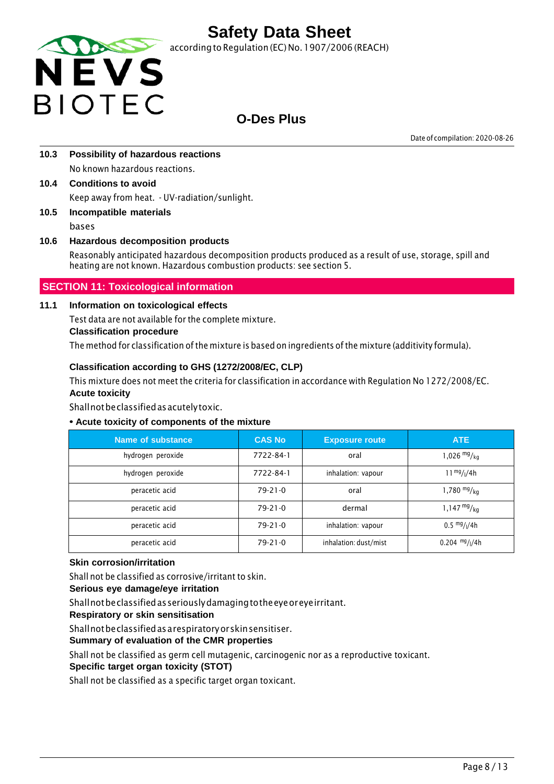

according to Regulation (EC) No. 1907/2006 (REACH)

### **O-Des Plus**

Date of compilation: 2020-08-26

- **10.3 Possibility of hazardous reactions** No known hazardous reactions.
- **10.4 Conditions to avoid** Keep away from heat. - UV-radiation/sunlight.
- **10.5 Incompatible materials** bases

### **10.6 Hazardous decomposition products**

Reasonably anticipated hazardous decomposition products produced as a result of use, storage, spill and heating are not known. Hazardous combustion products: see section 5.

### **SECTION 11: Toxicological information**

#### **11.1 Information on toxicological effects**

Test data are not available for the complete mixture.

#### **Classification procedure**

The method for classification ofthe mixture is based on ingredients of the mixture (additivity formula).

#### **Classification according to GHS (1272/2008/EC, CLP)**

This mixture does not meet the criteria for classification in accordance with Regulation No 1272/2008/EC. **Acute toxicity**

Shallnotbeclassifiedasacutelytoxic.

#### **• Acute toxicity of components of the mixture**

| Name of substance | <b>CAS No</b> | <b>Exposure route</b> | <b>ATE</b>                            |
|-------------------|---------------|-----------------------|---------------------------------------|
| hydrogen peroxide | 7722-84-1     | oral                  | 1,026 $mg/kq$                         |
| hydrogen peroxide | 7722-84-1     | inhalation: vapour    | $11^{mg}/(4h)$                        |
| peracetic acid    | $79-21-0$     | oral                  | 1,780 $mg/kq$                         |
| peracetic acid    | $79-21-0$     | dermal                | $1,147 \frac{mg}{kg}$                 |
| peracetic acid    | $79 - 21 - 0$ | inhalation: vapour    | $0.5 \frac{mg}{l}$ / <sub>1</sub> /4h |
| peracetic acid    | $79 - 21 - 0$ | inhalation: dust/mist | $0.204$ mg/ $1/4h$                    |

#### **Skin corrosion/irritation**

Shall not be classified as corrosive/irritant to skin.

#### **Serious eye damage/eye irritation**

Shallnotbeclassifiedasseriouslydamagingtotheeyeoreyeirritant.

**Respiratory or skin sensitisation**

Shallnotbeclassifiedasarespiratoryorskinsensitiser.

#### **Summary of evaluation of the CMR properties**

Shall not be classified as germ cell mutagenic, carcinogenic nor as a reproductive toxicant.

#### **Specific target organ toxicity (STOT)**

Shall not be classified as a specific target organ toxicant.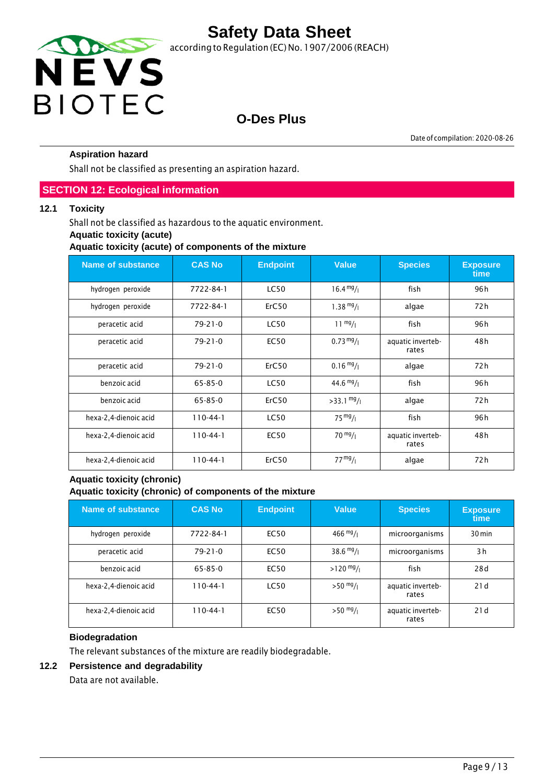

# **O-Des Plus**

Date of compilation: 2020-08-26

#### **Aspiration hazard**

Shall not be classified as presenting an aspiration hazard.

#### **SECTION 12: Ecological information**

#### **12.1 Toxicity**

Shall not be classified as hazardous to the aquatic environment.

#### **Aquatic toxicity (acute)**

**Aquatic toxicity (acute) of components of the mixture**

| <b>Name of substance</b> | <b>CAS No</b> | <b>Endpoint</b> | <b>Value</b>         | <b>Species</b>             | <b>Exposure</b><br>time |
|--------------------------|---------------|-----------------|----------------------|----------------------------|-------------------------|
| hydrogen peroxide        | 7722-84-1     | <b>LC50</b>     | $16.4 \frac{mg}{l}$  | fish                       | 96 h                    |
| hydrogen peroxide        | 7722-84-1     | ErC50           | $1.38 \frac{mg}{l}$  | algae                      | 72 h                    |
| peracetic acid           | $79 - 21 - 0$ | <b>LC50</b>     | $11 \frac{mg}{l}$    | fish                       | 96 h                    |
| peracetic acid           | $79 - 21 - 0$ | <b>EC50</b>     | $0.73 \frac{mg}{l}$  | aquatic inverteb-<br>rates | 48 h                    |
| peracetic acid           | $79 - 21 - 0$ | ErC50           | $0.16 \frac{mg}{l}$  | algae                      | 72 h                    |
| benzoic acid             | $65 - 85 - 0$ | <b>LC50</b>     | $44.6 \frac{mg}{l}$  | fish                       | 96 h                    |
| benzoic acid             | $65 - 85 - 0$ | ErC50           | $>33.1 \frac{mg}{l}$ | algae                      | 72 h                    |
| hexa-2,4-dienoic acid    | $110-44-1$    | <b>LC50</b>     | $75 \frac{mg}{l}$    | fish                       | 96 h                    |
| hexa-2,4-dienoic acid    | $110-44-1$    | <b>EC50</b>     | $70 \frac{mg}{l}$    | aquatic inverteb-<br>rates | 48 h                    |
| hexa-2,4-dienoic acid    | $110-44-1$    | ErC50           | 77 <sup>mg</sup> /1  | algae                      | 72 h                    |

#### **Aquatic toxicity (chronic) Aquatic toxicity (chronic) of components of the mixture**

| Name of substance     | <b>CAS No</b>  | <b>Endpoint</b> | <b>Value</b>        | <b>Species</b>             | <b>Exposure</b><br>time |
|-----------------------|----------------|-----------------|---------------------|----------------------------|-------------------------|
| hydrogen peroxide     | 7722-84-1      | EC50            | $466 \frac{mg}{l}$  | microorganisms             | $30 \,\mathrm{min}$     |
| peracetic acid        | $79 - 21 - 0$  | EC50            | $38.6 \frac{mg}{l}$ | microorganisms             | 3h                      |
| benzoic acid          | 65-85-0        | <b>EC50</b>     | $>120$ mg/          | fish                       | 28d                     |
| hexa-2,4-dienoic acid | $110 - 44 - 1$ | <b>LC50</b>     | $>50$ mg/ $_1$      | aquatic inverteb-<br>rates | 21d                     |
| hexa-2,4-dienoic acid | $110 - 44 - 1$ | <b>EC50</b>     | $>50$ mg/           | aquatic inverteb-<br>rates | 21d                     |

#### **Biodegradation**

The relevant substances of the mixture are readily biodegradable.

#### **12.2 Persistence and degradability**

Data are not available.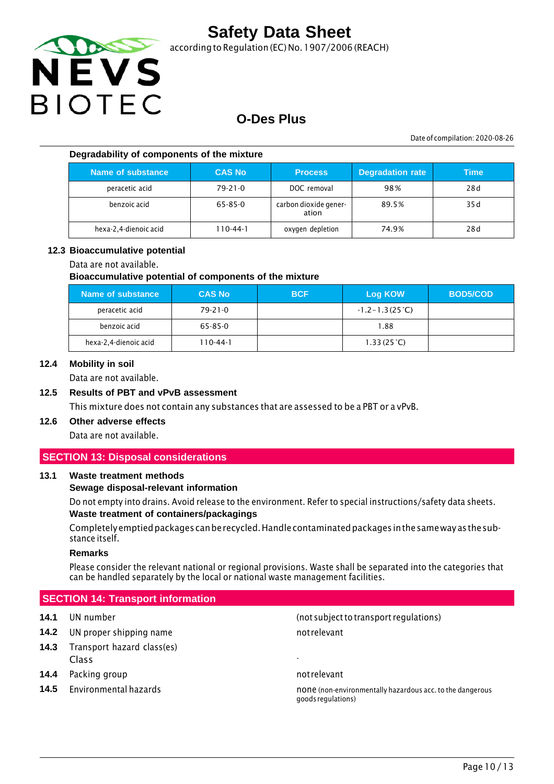

according to Regulation (EC) No.1907/2006 (REACH)

### **O-Des Plus**

Date of compilation: 2020-08-26

#### **Degradability of components of the mixture**

| Name of substance     | <b>CAS No</b> | <b>Process</b>                 | <b>Degradation rate</b> | Time |
|-----------------------|---------------|--------------------------------|-------------------------|------|
| peracetic acid        | $79 - 21 - 0$ | DOC removal                    | 98%                     | 28d  |
| benzoic acid          | 65-85-0       | carbon dioxide gener-<br>ation | 89.5%                   | 35 d |
| hexa-2,4-dienoic acid | 110-44-1      | oxygen depletion               | 74.9%                   | 28d  |

#### **12.3 Bioaccumulative potential**

#### Data are not available.

#### **Bioaccumulative potential of components of the mixture**

| Name of substance     | <b>CAS No</b> | <b>BCF</b> | Log KOW                   | <b>BOD5/COD</b> |
|-----------------------|---------------|------------|---------------------------|-----------------|
| peracetic acid        | $79 - 21 - 0$ |            | $-1.2 - 1.3(25^{\circ}C)$ |                 |
| benzoic acid          | 65-85-0       |            | 1.88                      |                 |
| hexa-2,4-dienoic acid | 110-44-1      |            | 1.33(25 <sup>o</sup> C)   |                 |

#### **12.4 Mobility in soil**

Data are not available.

#### **12.5 Results of PBT and vPvB assessment**

This mixture does not contain any substances that are assessed to be a PBT or a vPvB.

### **12.6 Other adverse effects**

Data are not available.

#### **SECTION 13: Disposal considerations**

#### **13.1 Waste treatment methods**

#### **Sewage disposal-relevant information**

Do not empty into drains. Avoid release to the environment. Refer to special instructions/safety data sheets. **Waste treatment of containers/packagings**

Completelyemptiedpackages canberecycled.Handlecontaminatedpackages inthesameway asthesubstance itself.

#### **Remarks**

Please consider the relevant national or regional provisions. Waste shall be separated into the categories that can be handled separately by the local or national waste management facilities.

#### **SECTION 14: Transport information**

- **14.2** UN proper shipping name not relevant
- **14.3** Transport hazard class(es) Class -
- **14.4** Packing group **not relevant** and relevant
- 

**14.1** UN number (not subjectto transport regulations)

**14.5** Environmental hazards **none is a constant of the controller of the dangerous** none (non-environmentally hazardous acc. to the dangerous goodsregulations)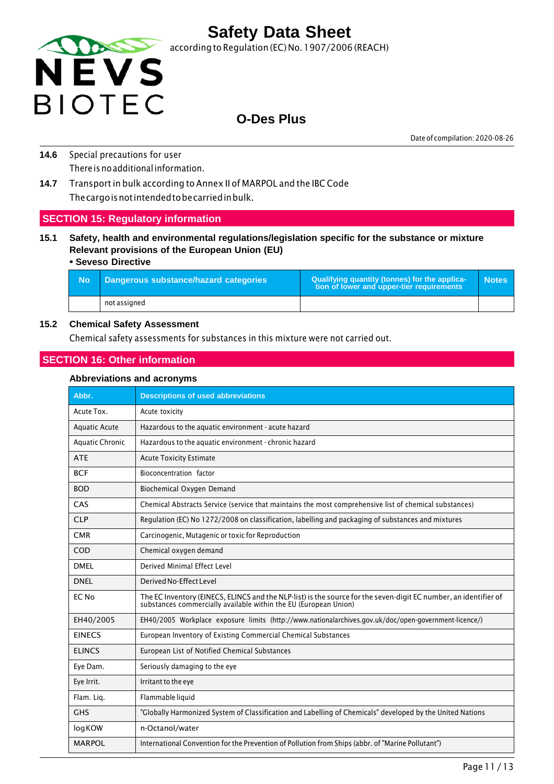

### **O-Des Plus**

Date of compilation: 2020-08-26

- **14.6** Special precautions for user There is no additional information.
- **14.7** Transport in bulk according to Annex II of MARPOL and the IBC Code Thecargoisnotintendedtobecarriedinbulk.

#### **SECTION 15: Regulatory information**

**15.1 Safety, health and environmental regulations/legislation specific for the substance or mixture Relevant provisions of the European Union (EU)**

#### **• Seveso Directive**

| - No | Dangerous substance/hazard categories | Qualifying quantity (tonnes) for the applica-<br>tion of lower and upper-tier requirements | <b>Notes</b> |
|------|---------------------------------------|--------------------------------------------------------------------------------------------|--------------|
|      | not assigned                          |                                                                                            |              |

#### **15.2 Chemical Safety Assessment**

Chemical safety assessments for substances in this mixture were not carried out.

#### **SECTION 16: Other information**

#### **Abbreviations and acronyms**

| Abbr.                  | <b>Descriptions of used abbreviations</b>                                                                                                                                         |
|------------------------|-----------------------------------------------------------------------------------------------------------------------------------------------------------------------------------|
| Acute Tox.             | Acute toxicity                                                                                                                                                                    |
| <b>Aquatic Acute</b>   | Hazardous to the aquatic environment - acute hazard                                                                                                                               |
| <b>Aquatic Chronic</b> | Hazardous to the aquatic environment - chronic hazard                                                                                                                             |
| <b>ATE</b>             | <b>Acute Toxicity Estimate</b>                                                                                                                                                    |
| <b>BCF</b>             | Bioconcentration factor                                                                                                                                                           |
| <b>BOD</b>             | Biochemical Oxygen Demand                                                                                                                                                         |
| CAS                    | Chemical Abstracts Service (service that maintains the most comprehensive list of chemical substances)                                                                            |
| <b>CLP</b>             | Regulation (EC) No 1272/2008 on classification, labelling and packaging of substances and mixtures                                                                                |
| <b>CMR</b>             | Carcinogenic, Mutagenic or toxic for Reproduction                                                                                                                                 |
| COD                    | Chemical oxygen demand                                                                                                                                                            |
| <b>DMEL</b>            | Derived Minimal Effect Level                                                                                                                                                      |
| <b>DNEL</b>            | Derived No-Effect Level                                                                                                                                                           |
| EC No                  | The EC Inventory (EINECS, ELINCS and the NLP-list) is the source for the seven-digit EC number, an identifier of substances commercially available within the EU (European Union) |
| EH40/2005              | EH40/2005 Workplace exposure limits (http://www.nationalarchives.gov.uk/doc/open-government-licence/)                                                                             |
| <b>EINECS</b>          | European Inventory of Existing Commercial Chemical Substances                                                                                                                     |
| <b>ELINCS</b>          | European List of Notified Chemical Substances                                                                                                                                     |
| Eye Dam.               | Seriously damaging to the eye                                                                                                                                                     |
| Eye Irrit.             | Irritant to the eye                                                                                                                                                               |
| Flam. Lig.             | Flammable liquid                                                                                                                                                                  |
| <b>GHS</b>             | "Globally Harmonized System of Classification and Labelling of Chemicals" developed by the United Nations                                                                         |
| logKOW                 | n-Octanol/water                                                                                                                                                                   |
| <b>MARPOL</b>          | International Convention for the Prevention of Pollution from Ships (abbr. of "Marine Pollutant")                                                                                 |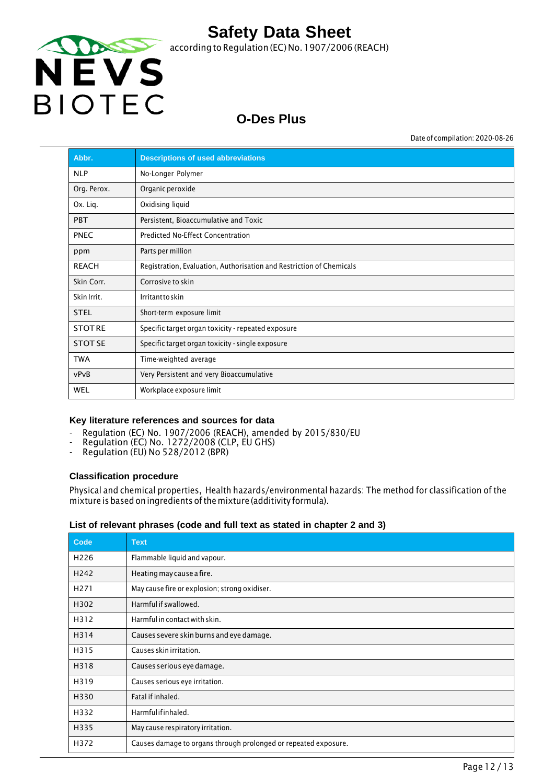

## **O-Des Plus**

Date of compilation: 2020-08-26

| Abbr.          | <b>Descriptions of used abbreviations</b>                            |
|----------------|----------------------------------------------------------------------|
| <b>NLP</b>     | No-Longer Polymer                                                    |
| Org. Perox.    | Organic peroxide                                                     |
| Ox. Lig.       | Oxidising liquid                                                     |
| <b>PBT</b>     | Persistent, Bioaccumulative and Toxic                                |
| <b>PNEC</b>    | Predicted No-Effect Concentration                                    |
| ppm            | Parts per million                                                    |
| <b>REACH</b>   | Registration, Evaluation, Authorisation and Restriction of Chemicals |
| Skin Corr.     | Corrosive to skin                                                    |
| Skin Irrit.    | Irritanttoskin                                                       |
| <b>STEL</b>    | Short-term exposure limit                                            |
| <b>STOTRE</b>  | Specific target organ toxicity - repeated exposure                   |
| <b>STOT SE</b> | Specific target organ toxicity - single exposure                     |
| <b>TWA</b>     | Time-weighted average                                                |
| vPvB           | Very Persistent and very Bioaccumulative                             |
| WEL            | Workplace exposure limit                                             |

#### **Key literature references and sources for data**

- Regulation (EC) No. 1907/2006 (REACH), amended by 2015/830/EU
- Regulation (EC) No. 1272/2008 (CLP, EU GHS)
- Regulation (EU) No 528/2012 (BPR)

#### **Classification procedure**

Physical and chemical properties, Health hazards/environmental hazards: The method for classification of the mixture is based on ingredients ofthe mixture (additivity formula).

#### **List of relevant phrases (code and full text as stated in chapter 2 and 3)**

| Code             | <b>Text</b>                                                     |
|------------------|-----------------------------------------------------------------|
| H <sub>226</sub> | Flammable liquid and vapour.                                    |
| H <sub>242</sub> | Heating may cause a fire.                                       |
| H <sub>271</sub> | May cause fire or explosion; strong oxidiser.                   |
| H302             | Harmful if swallowed.                                           |
| H312             | Harmful in contact with skin.                                   |
| H314             | Causes severe skin burns and eye damage.                        |
| H315             | Causes skin irritation.                                         |
| H318             | Causes serious eye damage.                                      |
| H319             | Causes serious eye irritation.                                  |
| H330             | Fatal if inhaled.                                               |
| H332             | Harmfulifinhaled.                                               |
| H335             | May cause respiratory irritation.                               |
| H372             | Causes damage to organs through prolonged or repeated exposure. |